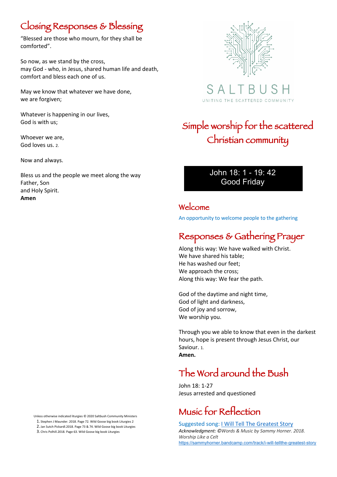## Closing Responses & Blessing

"Blessed are those who mourn, for they shall be comforted".

So now, as we stand by the cross, may God - who, in Jesus, shared human life and death, comfort and bless each one of us.

May we know that whatever we have done, we are forgiven;

Whatever is happening in our lives, God is with us;

Whoever we are, God loves us. 2.

Now and always.

Bless us and the people we meet along the way Father, Son and Holy Spirit. **Amen**

Unless otherwise indicated liturgies © 2020 Saltbush Community Ministers

1. Stephen J Maunder. 2018. Page 72. Wild Goose big book Liturgies 2 2. Jan Sutch Pickardl.2018. Page 73 & 74. Wild Goose big book Liturgies

3. Chris Polhill.2018. Page 63. Wild Goose big book Liturgies



SAL UNITING THE SCATTERED COMMUNITY

# Simple worship for the scattered Christian community

#### John 18: 1 - 19: 42 Good Friday

#### Welcome

An opportunity to welcome people to the gathering

## Responses & Gathering Prayer

Along this way: We have walked with Christ. We have shared his table; He has washed our feet; We approach the cross; Along this way: We fear the path.

God of the daytime and night time, God of light and darkness, God of joy and sorrow, We worship you.

Through you we able to know that even in the darkest hours, hope is present through Jesus Christ, our Saviour. 1. **Amen.**

# The Word around the Bush

John 18: 1-27 Jesus arrested and questioned

## Music for Reflection

Suggested song: I Will Tell The Greatest Story *Acknowledgment: ©Words & Music by Sammy Horner. 2018. Worship Like a Celt*  https://sammyhorner.bandcamp.com/track/i-will-tellthe-greatest-story